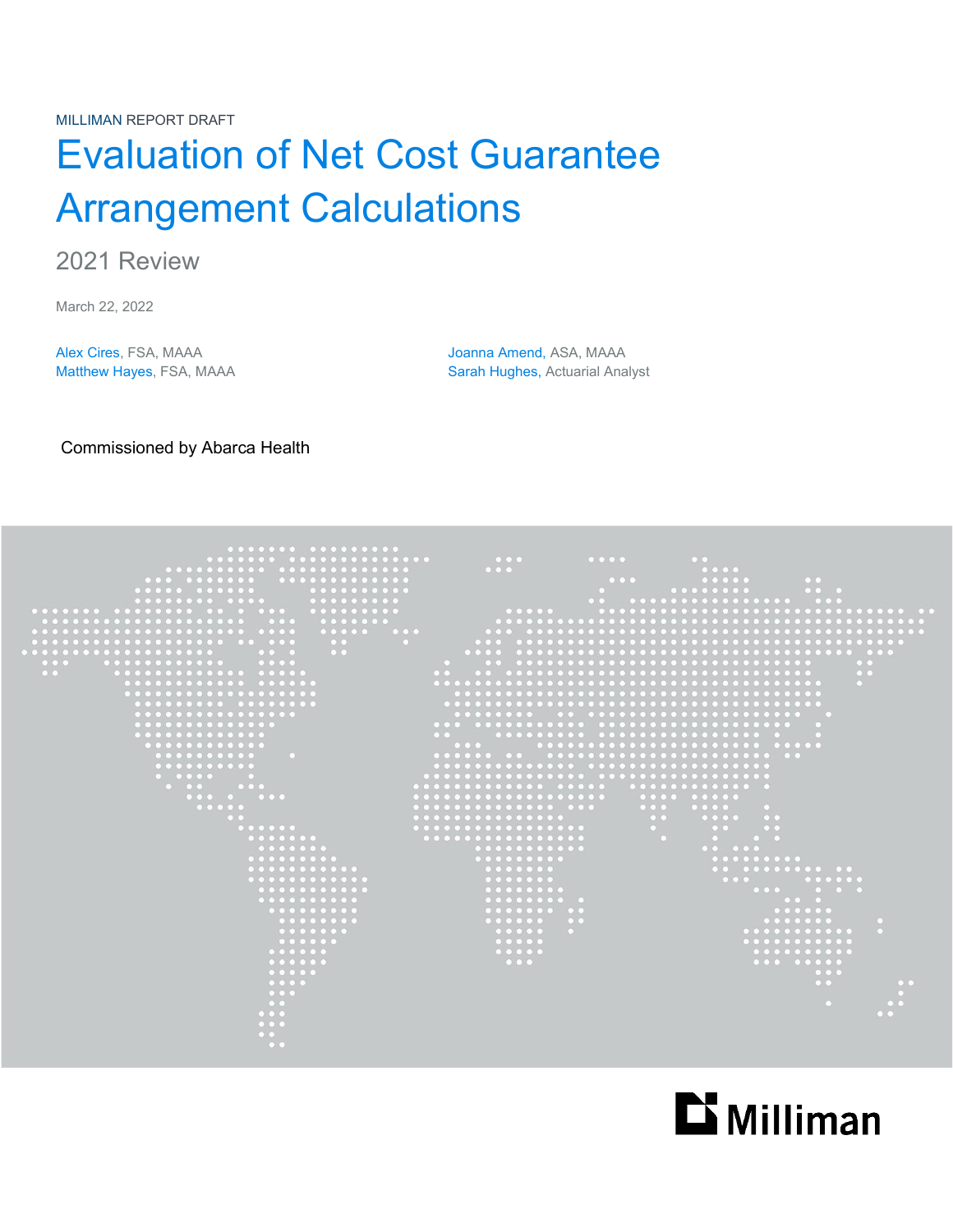MILLIMAN REPORT DRAFT

# Evaluation of Net Cost Guarantee Arrangement Calculations

2021 Review

March 22, 2022

Alex Cires, FSA, MAAA Joanna Amend, ASA, MAAA Matthew Hayes, FSA, MAAA Sarah Hughes, Actuarial Analyst

Commissioned by Abarca Health



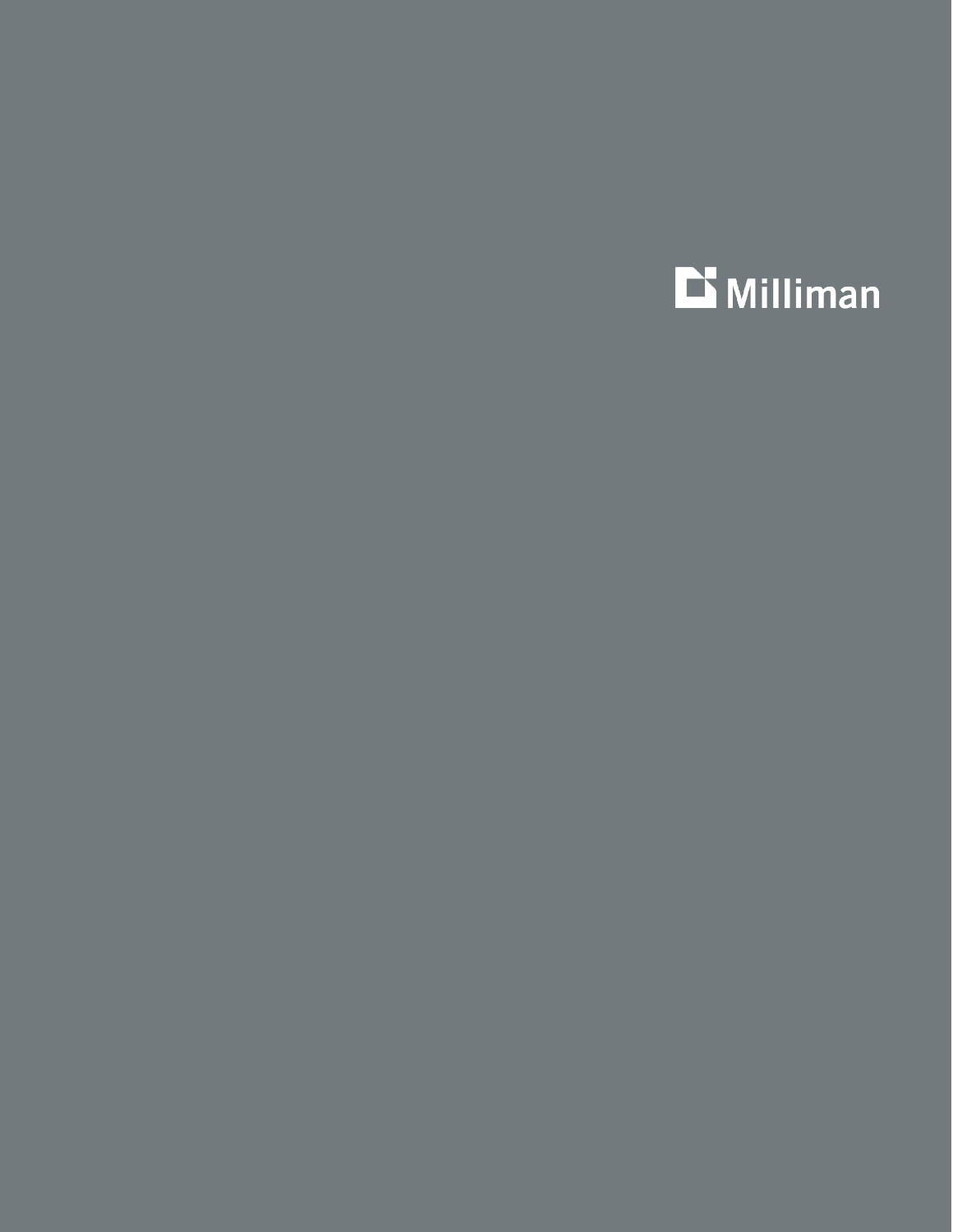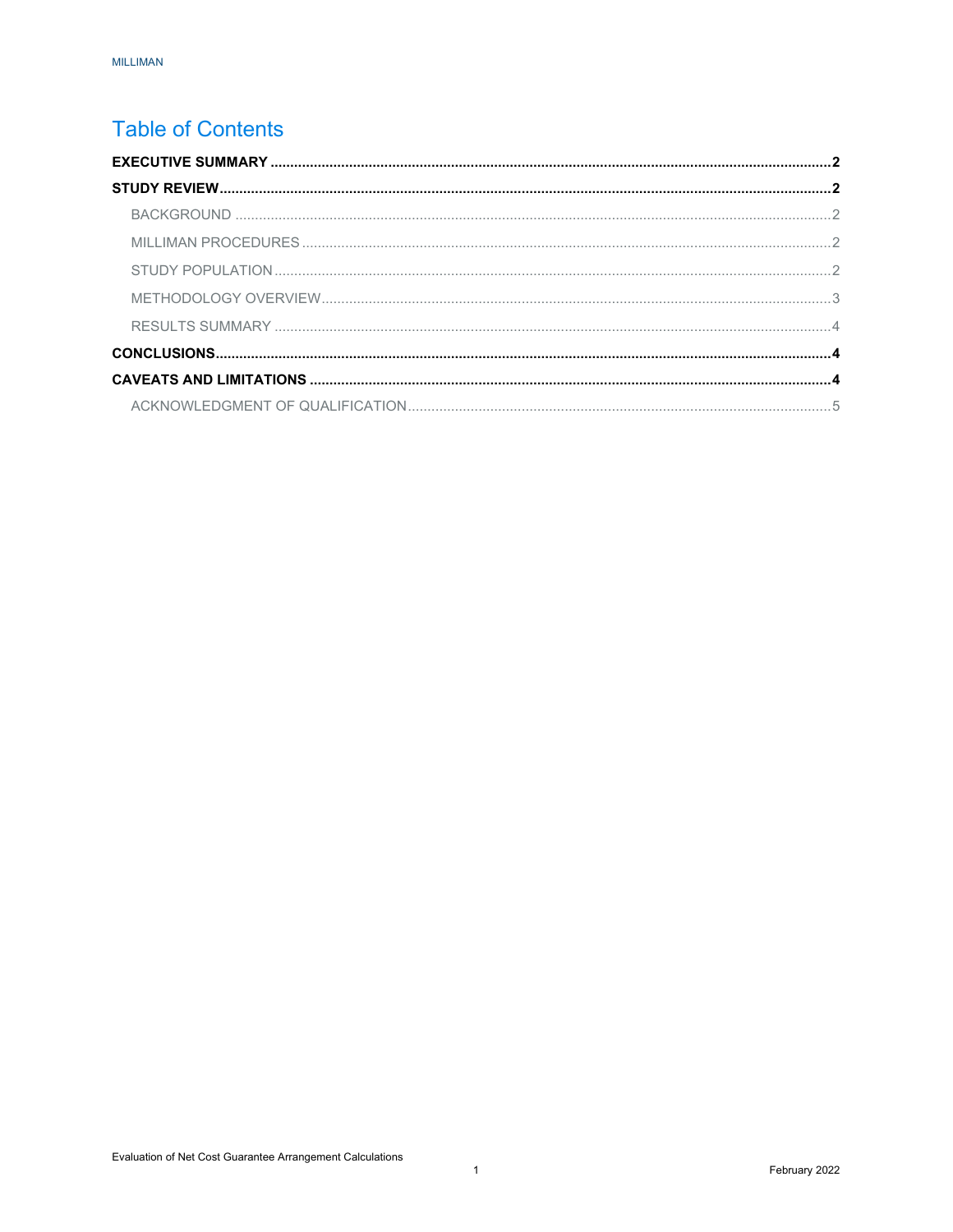## **Table of Contents**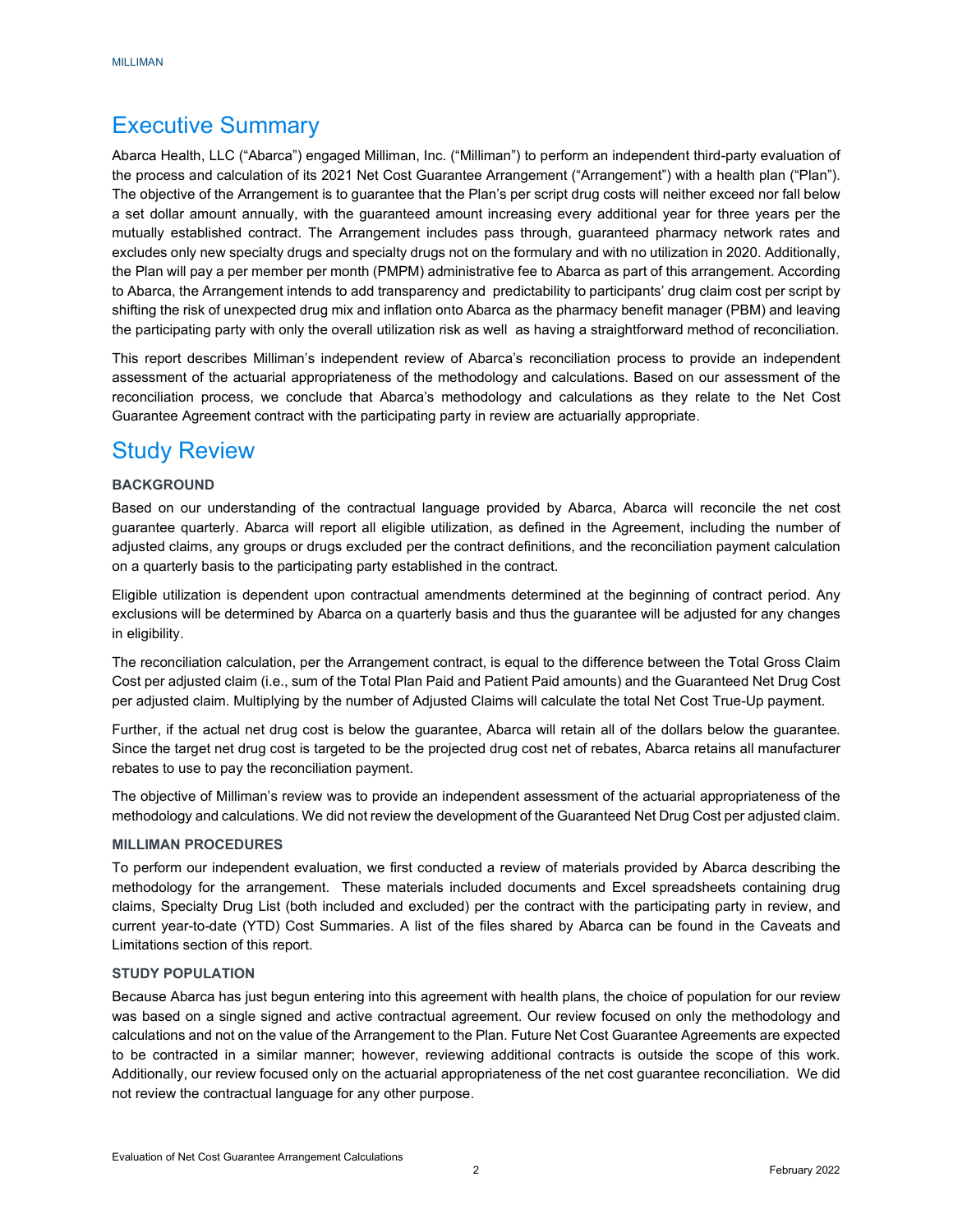## <span id="page-3-0"></span>Executive Summary

Abarca Health, LLC ("Abarca") engaged Milliman, Inc. ("Milliman") to perform an independent third-party evaluation of the process and calculation of its 2021 Net Cost Guarantee Arrangement ("Arrangement") with a health plan ("Plan"). The objective of the Arrangement is to guarantee that the Plan's per script drug costs will neither exceed nor fall below a set dollar amount annually, with the guaranteed amount increasing every additional year for three years per the mutually established contract. The Arrangement includes pass through, guaranteed pharmacy network rates and excludes only new specialty drugs and specialty drugs not on the formulary and with no utilization in 2020. Additionally, the Plan will pay a per member per month (PMPM) administrative fee to Abarca as part of this arrangement. According to Abarca, the Arrangement intends to add transparency and predictability to participants' drug claim cost per script by shifting the risk of unexpected drug mix and inflation onto Abarca as the pharmacy benefit manager (PBM) and leaving the participating party with only the overall utilization risk as well as having a straightforward method of reconciliation.

This report describes Milliman's independent review of Abarca's reconciliation process to provide an independent assessment of the actuarial appropriateness of the methodology and calculations. Based on our assessment of the reconciliation process, we conclude that Abarca's methodology and calculations as they relate to the Net Cost Guarantee Agreement contract with the participating party in review are actuarially appropriate.

## <span id="page-3-1"></span>Study Review

## <span id="page-3-2"></span>**BACKGROUND**

Based on our understanding of the contractual language provided by Abarca, Abarca will reconcile the net cost guarantee quarterly. Abarca will report all eligible utilization, as defined in the Agreement, including the number of adjusted claims, any groups or drugs excluded per the contract definitions, and the reconciliation payment calculation on a quarterly basis to the participating party established in the contract.

Eligible utilization is dependent upon contractual amendments determined at the beginning of contract period. Any exclusions will be determined by Abarca on a quarterly basis and thus the guarantee will be adjusted for any changes in eligibility.

The reconciliation calculation, per the Arrangement contract, is equal to the difference between the Total Gross Claim Cost per adjusted claim (i.e., sum of the Total Plan Paid and Patient Paid amounts) and the Guaranteed Net Drug Cost per adjusted claim. Multiplying by the number of Adjusted Claims will calculate the total Net Cost True-Up payment.

Further, if the actual net drug cost is below the guarantee, Abarca will retain all of the dollars below the guarantee. Since the target net drug cost is targeted to be the projected drug cost net of rebates, Abarca retains all manufacturer rebates to use to pay the reconciliation payment.

The objective of Milliman's review was to provide an independent assessment of the actuarial appropriateness of the methodology and calculations. We did not review the development of the Guaranteed Net Drug Cost per adjusted claim.

### <span id="page-3-3"></span>**MILLIMAN PROCEDURES**

To perform our independent evaluation, we first conducted a review of materials provided by Abarca describing the methodology for the arrangement. These materials included documents and Excel spreadsheets containing drug claims, Specialty Drug List (both included and excluded) per the contract with the participating party in review, and current year-to-date (YTD) Cost Summaries. A list of the files shared by Abarca can be found in the Caveats and Limitations section of this report.

## <span id="page-3-4"></span>**STUDY POPULATION**

Because Abarca has just begun entering into this agreement with health plans, the choice of population for our review was based on a single signed and active contractual agreement. Our review focused on only the methodology and calculations and not on the value of the Arrangement to the Plan. Future Net Cost Guarantee Agreements are expected to be contracted in a similar manner; however, reviewing additional contracts is outside the scope of this work. Additionally, our review focused only on the actuarial appropriateness of the net cost guarantee reconciliation. We did not review the contractual language for any other purpose.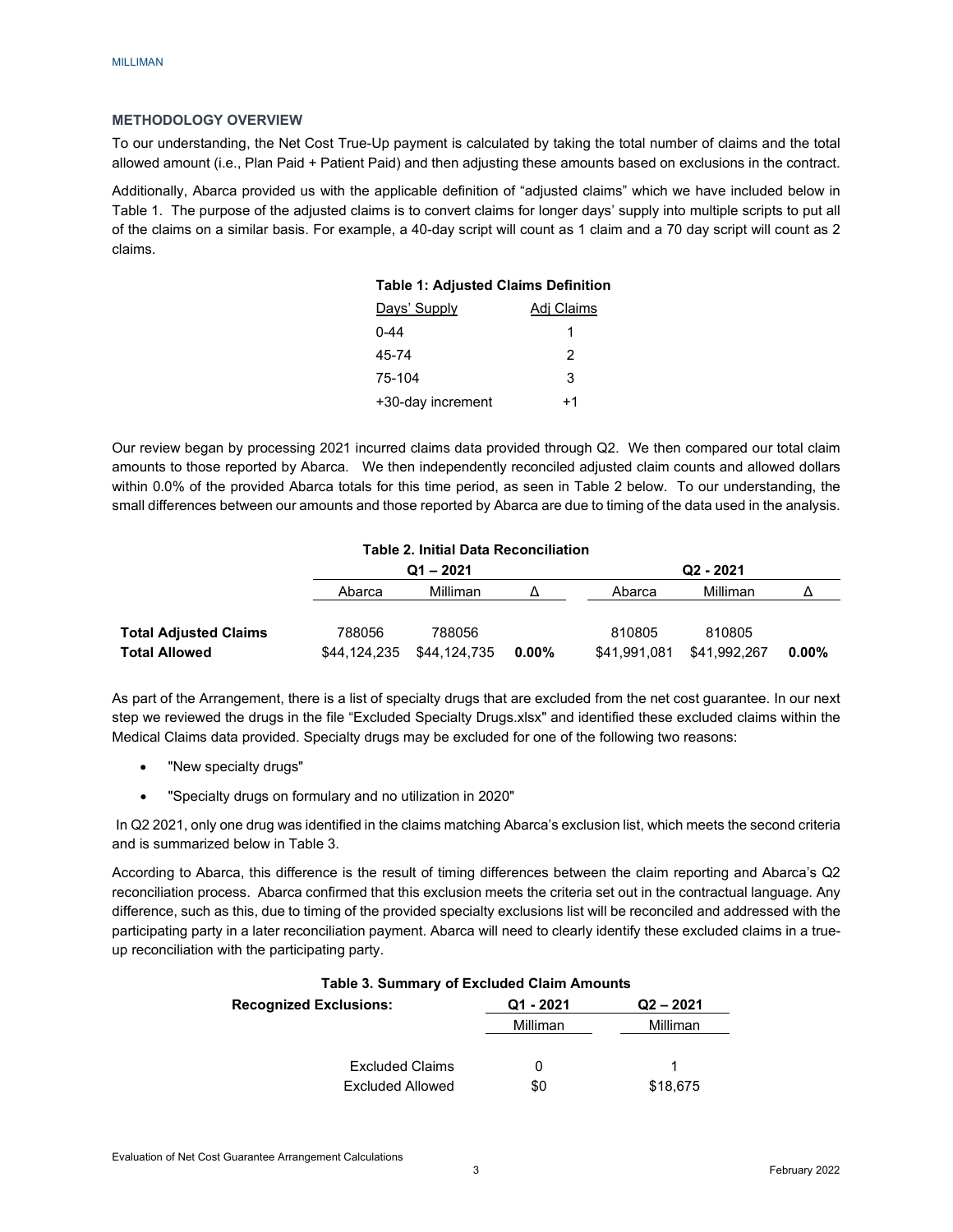## <span id="page-4-0"></span>**METHODOLOGY OVERVIEW**

To our understanding, the Net Cost True-Up payment is calculated by taking the total number of claims and the total allowed amount (i.e., Plan Paid + Patient Paid) and then adjusting these amounts based on exclusions in the contract.

Additionally, Abarca provided us with the applicable definition of "adjusted claims" which we have included below in Table 1. The purpose of the adjusted claims is to convert claims for longer days' supply into multiple scripts to put all of the claims on a similar basis. For example, a 40-day script will count as 1 claim and a 70 day script will count as 2 claims.

## **Table 1: Adjusted Claims Definition**

| Days' Supply      | Adj Claims |
|-------------------|------------|
| 0-44              | 1          |
| 45-74             | 2          |
| 75-104            | 3          |
| +30-day increment | +1         |

Our review began by processing 2021 incurred claims data provided through Q2. We then compared our total claim amounts to those reported by Abarca. We then independently reconciled adjusted claim counts and allowed dollars within 0.0% of the provided Abarca totals for this time period, as seen in Table 2 below. To our understanding, the small differences between our amounts and those reported by Abarca are due to timing of the data used in the analysis.

| <b>Table 2. Initial Data Reconciliation</b> |              |              |          |              |              |          |  |
|---------------------------------------------|--------------|--------------|----------|--------------|--------------|----------|--|
|                                             |              | $Q1 - 2021$  |          |              | $Q2 - 2021$  |          |  |
|                                             | Abarca       | Milliman     |          | Abarca       | Milliman     |          |  |
|                                             |              |              |          |              |              |          |  |
| <b>Total Adjusted Claims</b>                | 788056       | 788056       |          | 810805       | 810805       |          |  |
| <b>Total Allowed</b>                        | \$44.124.235 | \$44.124.735 | $0.00\%$ | \$41.991.081 | \$41,992,267 | $0.00\%$ |  |

As part of the Arrangement, there is a list of specialty drugs that are excluded from the net cost guarantee. In our next step we reviewed the drugs in the file "Excluded Specialty Drugs.xlsx" and identified these excluded claims within the Medical Claims data provided. Specialty drugs may be excluded for one of the following two reasons:

- "New specialty drugs"
- "Specialty drugs on formulary and no utilization in 2020"

In Q2 2021, only one drug was identified in the claims matching Abarca's exclusion list, which meets the second criteria and is summarized below in Table 3.

According to Abarca, this difference is the result of timing differences between the claim reporting and Abarca's Q2 reconciliation process. Abarca confirmed that this exclusion meets the criteria set out in the contractual language. Any difference, such as this, due to timing of the provided specialty exclusions list will be reconciled and addressed with the participating party in a later reconciliation payment. Abarca will need to clearly identify these excluded claims in a trueup reconciliation with the participating party.

| <b>Table 3. Summary of Excluded Claim Amounts</b> |           |          |  |
|---------------------------------------------------|-----------|----------|--|
| <b>Recognized Exclusions:</b>                     | Q1 - 2021 |          |  |
|                                                   | Milliman  | Milliman |  |
| <b>Excluded Claims</b>                            |           |          |  |
| Excluded Allowed                                  | \$0       | \$18,675 |  |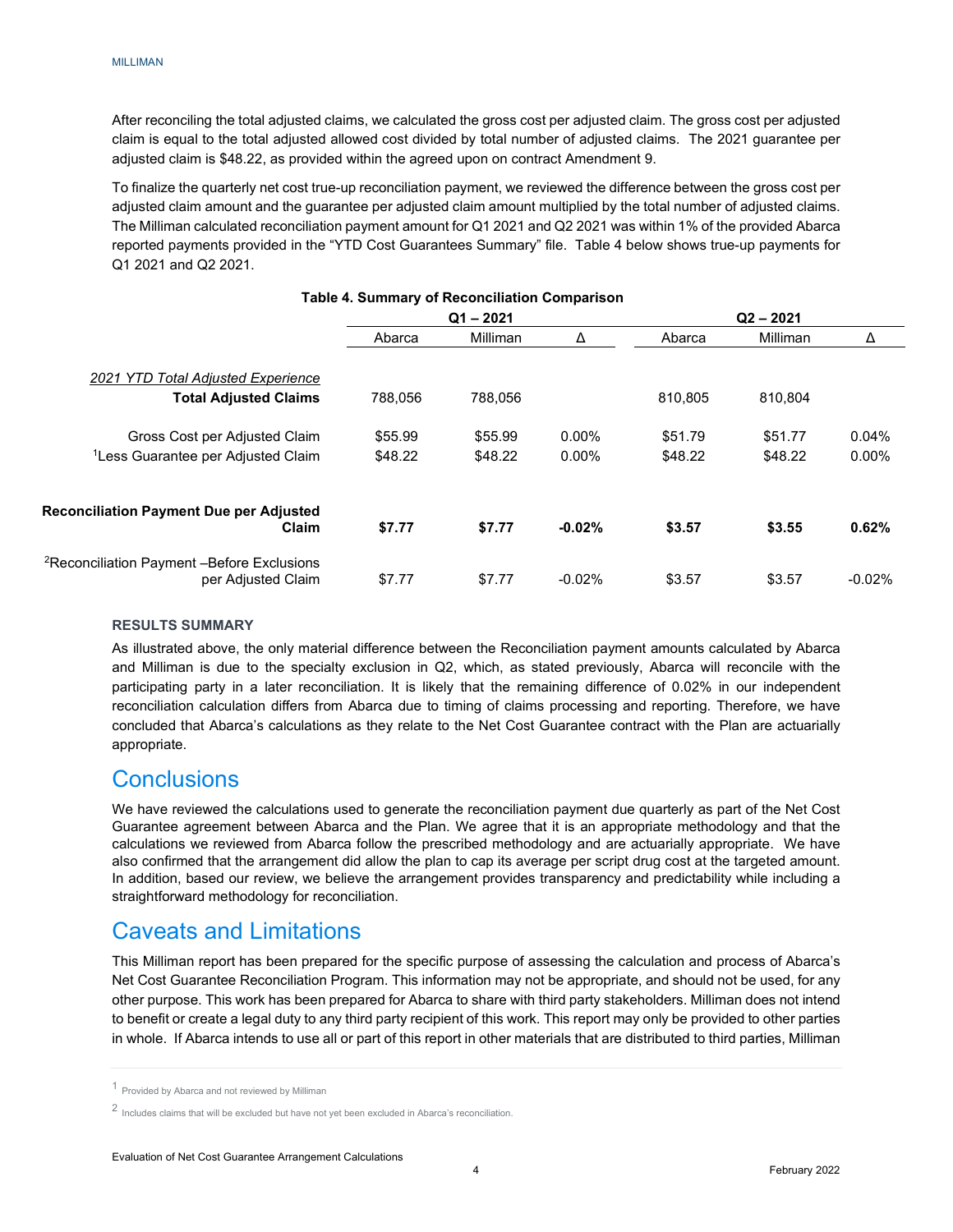After reconciling the total adjusted claims, we calculated the gross cost per adjusted claim. The gross cost per adjusted claim is equal to the total adjusted allowed cost divided by total number of adjusted claims. The 2021 guarantee per adjusted claim is \$48.22, as provided within the agreed upon on contract Amendment 9.

To finalize the quarterly net cost true-up reconciliation payment, we reviewed the difference between the gross cost per adjusted claim amount and the guarantee per adjusted claim amount multiplied by the total number of adjusted claims. The Milliman calculated reconciliation payment amount for Q1 2021 and Q2 2021 was within 1% of the provided Abarca reported payments provided in the "YTD Cost Guarantees Summary" file. Table 4 below shows true-up payments for Q1 2021 and Q2 2021.

|                                                                              | $Q1 - 2021$ |          |          | $Q2 - 2021$ |          |          |
|------------------------------------------------------------------------------|-------------|----------|----------|-------------|----------|----------|
|                                                                              | Abarca      | Milliman | Δ        | Abarca      | Milliman | Δ        |
| 2021 YTD Total Adjusted Experience                                           |             |          |          |             |          |          |
| <b>Total Adjusted Claims</b>                                                 | 788.056     | 788.056  |          | 810.805     | 810.804  |          |
| Gross Cost per Adjusted Claim                                                | \$55.99     | \$55.99  | $0.00\%$ | \$51.79     | \$51.77  | 0.04%    |
| <sup>1</sup> Less Guarantee per Adjusted Claim                               | \$48.22     | \$48.22  | $0.00\%$ | \$48.22     | \$48.22  | $0.00\%$ |
| <b>Reconciliation Payment Due per Adjusted</b><br>Claim                      | \$7.77      | \$7.77   | $-0.02%$ | \$3.57      | \$3.55   | 0.62%    |
| <sup>2</sup> Reconciliation Payment -Before Exclusions<br>per Adjusted Claim | \$7.77      | \$7.77   | $-0.02%$ | \$3.57      | \$3.57   | $-0.02%$ |

## **Table 4. Summary of Reconciliation Comparison**

## <span id="page-5-0"></span>**RESULTS SUMMARY**

As illustrated above, the only material difference between the Reconciliation payment amounts calculated by Abarca and Milliman is due to the specialty exclusion in Q2, which, as stated previously, Abarca will reconcile with the participating party in a later reconciliation. It is likely that the remaining difference of 0.02% in our independent reconciliation calculation differs from Abarca due to timing of claims processing and reporting. Therefore, we have concluded that Abarca's calculations as they relate to the Net Cost Guarantee contract with the Plan are actuarially appropriate.

## <span id="page-5-1"></span>**Conclusions**

We have reviewed the calculations used to generate the reconciliation payment due quarterly as part of the Net Cost Guarantee agreement between Abarca and the Plan. We agree that it is an appropriate methodology and that the calculations we reviewed from Abarca follow the prescribed methodology and are actuarially appropriate. We have also confirmed that the arrangement did allow the plan to cap its average per script drug cost at the targeted amount. In addition, based our review, we believe the arrangement provides transparency and predictability while including a straightforward methodology for reconciliation.

## <span id="page-5-2"></span>Caveats and Limitations

This Milliman report has been prepared for the specific purpose of assessing the calculation and process of Abarca's Net Cost Guarantee Reconciliation Program. This information may not be appropriate, and should not be used, for any other purpose. This work has been prepared for Abarca to share with third party stakeholders. Milliman does not intend to benefit or create a legal duty to any third party recipient of this work. This report may only be provided to other parties in whole. If Abarca intends to use all or part of this report in other materials that are distributed to third parties, Milliman

<span id="page-5-3"></span><sup>1</sup> Provided by Abarca and not reviewed by Milliman

<span id="page-5-4"></span><sup>2</sup> Includes claims that will be excluded but have not yet been excluded in Abarca's reconciliation.